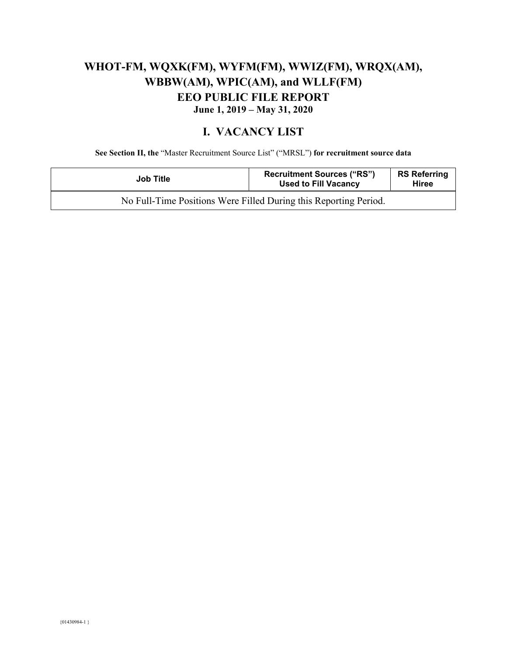# **WHOT-FM, WQXK(FM), WYFM(FM), WWIZ(FM), WRQX(AM), WBBW(AM), WPIC(AM), and WLLF(FM) EEO PUBLIC FILE REPORT June 1, 2019 – May 31, 2020**

#### **I. VACANCY LIST**

**See Section II, the** "Master Recruitment Source List" ("MRSL") **for recruitment source data** 

| <b>Job Title</b>                                                 | <b>Recruitment Sources ("RS")</b><br><b>Used to Fill Vacancy</b> | <b>RS Referring</b><br><b>Hiree</b> |
|------------------------------------------------------------------|------------------------------------------------------------------|-------------------------------------|
| No Full-Time Positions Were Filled During this Reporting Period. |                                                                  |                                     |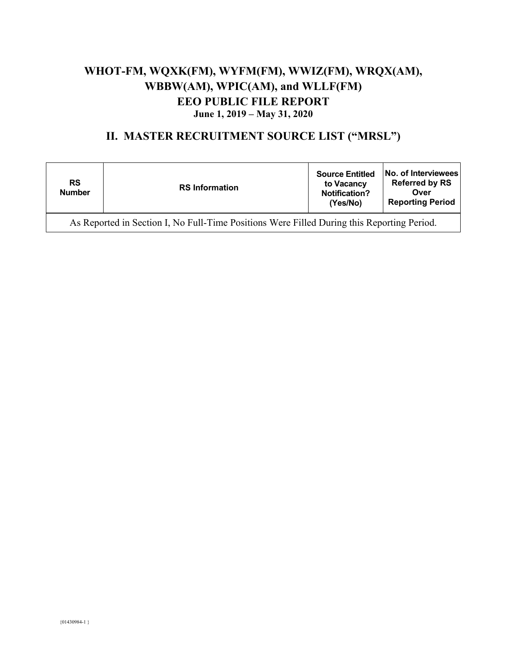## **WHOT-FM, WQXK(FM), WYFM(FM), WWIZ(FM), WRQX(AM), WBBW(AM), WPIC(AM), and WLLF(FM) EEO PUBLIC FILE REPORT June 1, 2019 – May 31, 2020**

### **II. MASTER RECRUITMENT SOURCE LIST ("MRSL")**

| <b>RS</b><br><b>Number</b>                                                                 | <b>RS Information</b> | <b>Source Entitled</b><br>to Vacancy<br><b>Notification?</b><br>(Yes/No) | No. of Interviewees<br><b>Referred by RS</b><br>Over<br><b>Reporting Period</b> |
|--------------------------------------------------------------------------------------------|-----------------------|--------------------------------------------------------------------------|---------------------------------------------------------------------------------|
| As Reported in Section I, No Full-Time Positions Were Filled During this Reporting Period. |                       |                                                                          |                                                                                 |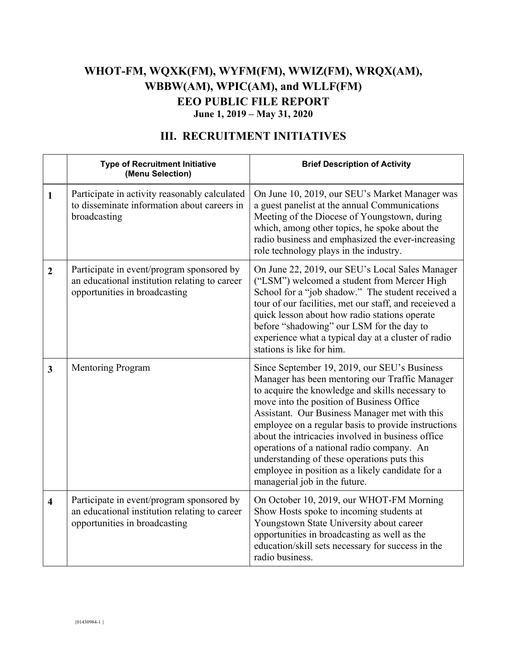## **WHOT-FM, WQXK(FM), WYFM(FM), WWIZ(FM), WRQX(AM), WBBW(AM), WPIC(AM), and WLLF(FM) EEO PUBLIC FILE REPORT June 1, 2019 – May 31, 2020**

|                         | <b>Type of Recruitment Initiative</b><br>(Menu Selection)                                                                   | <b>Brief Description of Activity</b>                                                                                                                                                                                                                                                                                                                                                                                                                                                                                                           |
|-------------------------|-----------------------------------------------------------------------------------------------------------------------------|------------------------------------------------------------------------------------------------------------------------------------------------------------------------------------------------------------------------------------------------------------------------------------------------------------------------------------------------------------------------------------------------------------------------------------------------------------------------------------------------------------------------------------------------|
| $\mathbf{1}$            | Participate in activity reasonably calculated<br>to disseminate information about careers in<br>broadcasting                | On June 10, 2019, our SEU's Market Manager was<br>a guest panelist at the annual Communications<br>Meeting of the Diocese of Youngstown, during<br>which, among other topics, he spoke about the<br>radio business and emphasized the ever-increasing<br>role technology plays in the industry.                                                                                                                                                                                                                                                |
| $\overline{2}$          | Participate in event/program sponsored by<br>an educational institution relating to career<br>opportunities in broadcasting | On June 22, 2019, our SEU's Local Sales Manager<br>("LSM") welcomed a student from Mercer High<br>School for a "job shadow." The student received a<br>tour of our facilities, met our staff, and receieved a<br>quick lesson about how radio stations operate<br>before "shadowing" our LSM for the day to<br>experience what a typical day at a cluster of radio<br>stations is like for him.                                                                                                                                                |
| $\overline{\mathbf{3}}$ | Mentoring Program                                                                                                           | Since September 19, 2019, our SEU's Business<br>Manager has been mentoring our Traffic Manager<br>to acquire the knowledge and skills necessary to<br>move into the position of Business Office<br>Assistant. Our Business Manager met with this<br>employee on a regular basis to provide instructions<br>about the intricacies involved in business office<br>operations of a national radio company. An<br>understanding of these operations puts this<br>employee in position as a likely candidate for a<br>managerial job in the future. |
| $\overline{\mathbf{4}}$ | Participate in event/program sponsored by<br>an educational institution relating to career<br>opportunities in broadcasting | On October 10, 2019, our WHOT-FM Morning<br>Show Hosts spoke to incoming students at<br>Youngstown State University about career<br>opportunities in broadcasting as well as the<br>education/skill sets necessary for success in the<br>radio business.                                                                                                                                                                                                                                                                                       |

## **III. RECRUITMENT INITIATIVES**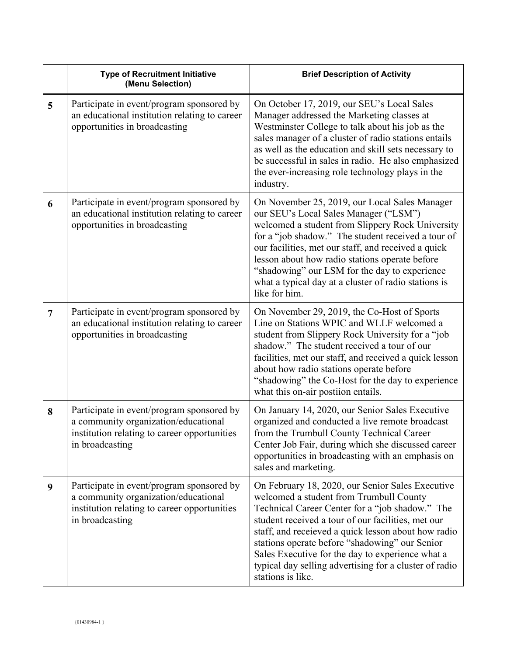|                | <b>Type of Recruitment Initiative</b><br>(Menu Selection)                                                                                            | <b>Brief Description of Activity</b>                                                                                                                                                                                                                                                                                                                                                                                                             |
|----------------|------------------------------------------------------------------------------------------------------------------------------------------------------|--------------------------------------------------------------------------------------------------------------------------------------------------------------------------------------------------------------------------------------------------------------------------------------------------------------------------------------------------------------------------------------------------------------------------------------------------|
| 5              | Participate in event/program sponsored by<br>an educational institution relating to career<br>opportunities in broadcasting                          | On October 17, 2019, our SEU's Local Sales<br>Manager addressed the Marketing classes at<br>Westminster College to talk about his job as the<br>sales manager of a cluster of radio stations entails<br>as well as the education and skill sets necessary to<br>be successful in sales in radio. He also emphasized<br>the ever-increasing role technology plays in the<br>industry.                                                             |
| 6              | Participate in event/program sponsored by<br>an educational institution relating to career<br>opportunities in broadcasting                          | On November 25, 2019, our Local Sales Manager<br>our SEU's Local Sales Manager ("LSM")<br>welcomed a student from Slippery Rock University<br>for a "job shadow." The student received a tour of<br>our facilities, met our staff, and received a quick<br>lesson about how radio stations operate before<br>"shadowing" our LSM for the day to experience<br>what a typical day at a cluster of radio stations is<br>like for him.              |
| $\overline{7}$ | Participate in event/program sponsored by<br>an educational institution relating to career<br>opportunities in broadcasting                          | On November 29, 2019, the Co-Host of Sports<br>Line on Stations WPIC and WLLF welcomed a<br>student from Slippery Rock University for a "job<br>shadow." The student received a tour of our<br>facilities, met our staff, and received a quick lesson<br>about how radio stations operate before<br>"shadowing" the Co-Host for the day to experience<br>what this on-air postiion entails.                                                      |
| 8              | Participate in event/program sponsored by<br>a community organization/educational<br>institution relating to career opportunities<br>in broadcasting | On January 14, 2020, our Senior Sales Executive<br>organized and conducted a live remote broadcast<br>from the Trumbull County Technical Career<br>Center Job Fair, during which she discussed career<br>opportunities in broadcasting with an emphasis on<br>sales and marketing.                                                                                                                                                               |
| 9              | Participate in event/program sponsored by<br>a community organization/educational<br>institution relating to career opportunities<br>in broadcasting | On February 18, 2020, our Senior Sales Executive<br>welcomed a student from Trumbull County<br>Technical Career Center for a "job shadow." The<br>student received a tour of our facilities, met our<br>staff, and receieved a quick lesson about how radio<br>stations operate before "shadowing" our Senior<br>Sales Executive for the day to experience what a<br>typical day selling advertising for a cluster of radio<br>stations is like. |